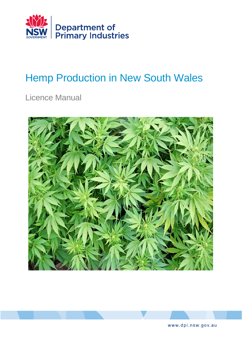

# Hemp Production in New South Wales

Licence Manual





www.dpi.nsw.gov.au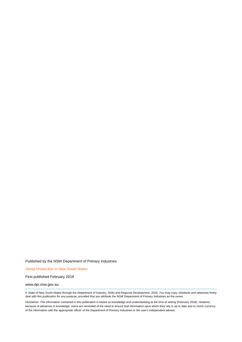Published by the NSW Department of Primary Industries

*Hemp Production in New South Wales*

First published February 2018

#### www.dpi.nsw.gov.au

© State of New South Wales through the Department of Industry, Skills and Regional Development, 2018. You may copy, distribute and otherwise freely deal with this publication for any purpose, provided that you attribute the NSW Department of Primary Industries as the owner.

Disclaimer: The information contained in this publication is based on knowledge and understanding at the time of writing (February 2018). However, because of advances in knowledge, users are reminded of the need to ensure that information upon which they rely is up to date and to check currency of the information with the appropriate officer of the Department of Primary Industries or the user's independent adviser.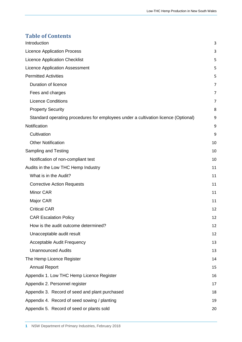### **Table of Contents**

| Introduction                                                                       | 3  |
|------------------------------------------------------------------------------------|----|
| <b>Licence Application Process</b>                                                 | 3  |
| <b>Licence Application Checklist</b>                                               | 5  |
| <b>Licence Application Assessment</b>                                              | 5  |
| <b>Permitted Activities</b>                                                        | 5  |
| Duration of licence                                                                | 7  |
| Fees and charges                                                                   | 7  |
| <b>Licence Conditions</b>                                                          | 7  |
| <b>Property Security</b>                                                           | 8  |
| Standard operating procedures for employees under a cultivation licence (Optional) | 9  |
| Notification                                                                       | 9  |
| Cultivation                                                                        | 9  |
| <b>Other Notification</b>                                                          | 10 |
| Sampling and Testing                                                               | 10 |
| Notification of non-compliant test                                                 | 10 |
| Audits in the Low THC Hemp Industry                                                | 11 |
| What is in the Audit?                                                              | 11 |
| <b>Corrective Action Requests</b>                                                  | 11 |
| Minor CAR                                                                          | 11 |
| Major CAR                                                                          | 11 |
| <b>Critical CAR</b>                                                                | 12 |
| <b>CAR Escalation Policy</b>                                                       | 12 |
| How is the audit outcome determined?                                               | 12 |
| Unacceptable audit result                                                          | 12 |
| <b>Acceptable Audit Frequency</b>                                                  | 13 |
| <b>Unannounced Audits</b>                                                          | 13 |
| The Hemp Licence Register                                                          | 14 |
| <b>Annual Report</b>                                                               | 15 |
| Appendix 1. Low THC Hemp Licence Register                                          | 16 |
| Appendix 2. Personnel register                                                     | 17 |
| Appendix 3. Record of seed and plant purchased                                     | 18 |
| Appendix 4. Record of seed sowing / planting                                       | 19 |
| Appendix 5. Record of seed or plants sold                                          | 20 |
|                                                                                    |    |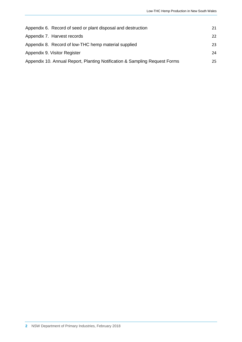| Appendix 6. Record of seed or plant disposal and destruction               | 21 |
|----------------------------------------------------------------------------|----|
| Appendix 7. Harvest records                                                | 22 |
| Appendix 8. Record of low-THC hemp material supplied                       | 23 |
| Appendix 9. Visitor Register                                               | 24 |
| Appendix 10. Annual Report, Planting Notification & Sampling Request Forms | 25 |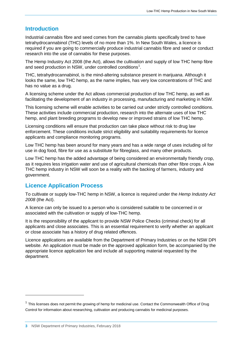### <span id="page-4-0"></span>**Introduction**

Industrial cannabis fibre and seed comes from the cannabis plants specifically bred to have tetrahydrocannabinol (THC) levels of no more than 1%. In New South Wales, a licence is required if you are going to commercially produce industrial cannabis fibre and seed or conduct research into the use of cannabis for these purposes.

The [Hemp Industry Act 2008](http://www.legislation.nsw.gov.au/viewtop/inforce/act+58+2008+FIRST+0+N/) (the Act), allows the cultivation and supply of low THC hemp fibre and seed production in NSW, under controlled conditions<sup>[1](#page-4-2)</sup>.

THC, tetrahydrocannabinol, is the mind-altering substance present in marijuana. Although it looks the same, low THC hemp, as the name implies, has very low concentrations of THC and has no value as a drug.

A licensing scheme under the Act allows commercial production of low THC hemp, as well as facilitating the development of an industry in processing, manufacturing and marketing in NSW.

This licensing scheme will enable activities to be carried out under strictly controlled conditions. These activities include commercial production, research into the alternate uses of low THC hemp, and plant breeding programs to develop new or improved strains of low THC hemp.

Licensing conditions will ensure that production can take place without risk to drug law enforcement. These conditions include strict eligibility and suitability requirements for licence applicants and compliance monitoring programs.

Low THC hemp has been around for many years and has a wide range of uses including oil for use in dog food, fibre for use as a substitute for fibreglass, and many other products.

Low THC hemp has the added advantage of being considered an environmentally friendly crop, as it requires less irrigation water and use of agricultural chemicals than other fibre crops. A low THC hemp industry in NSW will soon be a reality with the backing of farmers, industry and government.

### <span id="page-4-1"></span>**Licence Application Process**

To cultivate or supply low-THC hemp in NSW, a licence is required under the *Hemp Industry Act 2008* (the Act).

A licence can only be issued to a person who is considered suitable to be concerned in or associated with the cultivation or supply of low-THC hemp.

It is the responsibility of the applicant to provide NSW Police Checks (criminal check) for all applicants and close associates. This is an essential requirement to verify whether an applicant or close associate has a history of drug related offences.

Licence applications are available from the Department of Primary Industries or on the NSW DPI website. An application must be made on the approved application form, be accompanied by the appropriate licence application fee and include all supporting material requested by the department.

 $\overline{a}$ 

<span id="page-4-2"></span><sup>&</sup>lt;sup>1</sup> This licenses does not permit the growing of hemp for medicinal use. Contact the Commonwealth Office of Drug [Control](https://www.odc.gov.au/) for information about researching, cultivation and producing cannabis for medicinal purposes.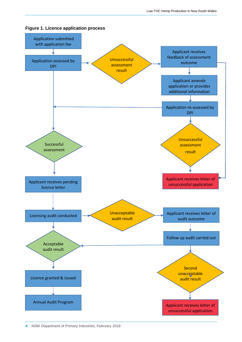

**Figure 1. Licence application process**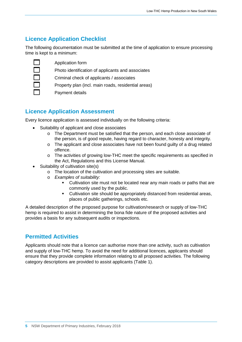### <span id="page-6-0"></span>**Licence Application Checklist**

The following documentation must be submitted at the time of application to ensure processing time is kept to a minimum:

Application form

Photo identification of applicants and associates

Criminal check of applicants / associates

Property plan (incl. main roads, residential areas)

Payment details

### <span id="page-6-1"></span>**Licence Application Assessment**

Every licence application is assessed individually on the following criteria:

- Suitability of applicant and close associates
	- o The Department must be satisfied that the person, and each close associate of the person, is of good repute, having regard to character, honesty and integrity.
	- o The applicant and close associates have not been found guilty of a drug related offence.
	- o The activities of growing low-THC meet the specific requirements as specified in the Act, Regulations and this License Manual.
- Suitability of cultivation site(s)
	- o The location of the cultivation and processing sites are suitable.
	- o *Examples of suitability:*
		- Cultivation site must not be located near any main roads or paths that are commonly used by the public.
		- Cultivation site should be appropriately distanced from residential areas, places of public gatherings, schools etc.

A detailed description of the proposed purpose for cultivation/research or supply of low-THC hemp is required to assist in determining the bona fide nature of the proposed activities and provides a basis for any subsequent audits or inspections.

### <span id="page-6-2"></span>**Permitted Activities**

Applicants should note that a licence can authorise more than one activity, such as cultivation and supply of low-THC hemp. To avoid the need for additional licences, applicants should ensure that they provide complete information relating to all proposed activities. The following category descriptions are provided to assist applicants (Table 1).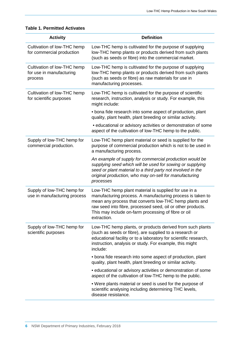#### **Table 1. Permitted Activates**

| <b>Activity</b>                                                    | <b>Definition</b>                                                                                                                                                                                                                                                                                                 |
|--------------------------------------------------------------------|-------------------------------------------------------------------------------------------------------------------------------------------------------------------------------------------------------------------------------------------------------------------------------------------------------------------|
| Cultivation of low-THC hemp<br>for commercial production           | Low-THC hemp is cultivated for the purpose of supplying<br>low-THC hemp plants or products derived from such plants<br>(such as seeds or fibre) into the commercial market.                                                                                                                                       |
| Cultivation of low-THC hemp<br>for use in manufacturing<br>process | Low-THC hemp is cultivated for the purpose of supplying<br>low-THC hemp plants or products derived from such plants<br>(such as seeds or fibre) as raw materials for use in<br>manufacturing processes.                                                                                                           |
| Cultivation of low-THC hemp<br>for scientific purposes             | Low-THC hemp is cultivated for the purpose of scientific<br>research, instruction, analysis or study. For example, this<br>might include:                                                                                                                                                                         |
|                                                                    | • bona fide research into some aspect of production, plant<br>quality, plant health, plant breeding or similar activity.                                                                                                                                                                                          |
|                                                                    | · educational or advisory activities or demonstration of some<br>aspect of the cultivation of low-THC hemp to the public.                                                                                                                                                                                         |
| Supply of low-THC hemp for<br>commercial production.               | Low-THC hemp plant material or seed is supplied for the<br>purpose of commercial production which is not to be used in<br>a manufacturing process.                                                                                                                                                                |
|                                                                    | An example of supply for commercial production would be<br>supplying seed which will be used for sowing or supplying<br>seed or plant material to a third party not involved in the<br>original production, who may on-sell for manufacturing<br>processes                                                        |
| Supply of low-THC hemp for<br>use in manufacturing process         | Low-THC hemp plant material is supplied for use in a<br>manufacturing process. A manufacturing process is taken to<br>mean any process that converts low-THC hemp plants and<br>raw seed into fibre, processed seed, oil or other products.<br>This may include on-farm processing of fibre or oil<br>extraction. |
| Supply of low-THC hemp for<br>scientific purposes                  | Low-THC hemp plants, or products derived from such plants<br>(such as seeds or fibre), are supplied to a research or<br>educational facility or to a laboratory for scientific research,<br>instruction, analysis or study. For example, this might<br>include:                                                   |
|                                                                    | • bona fide research into some aspect of production, plant<br>quality, plant health, plant breeding or similar activity.                                                                                                                                                                                          |
|                                                                    | • educational or advisory activities or demonstration of some<br>aspect of the cultivation of low-THC hemp to the public.                                                                                                                                                                                         |
|                                                                    | . Were plants material or seed is used for the purpose of<br>scientific analysing including determining THC levels,<br>disease resistance.                                                                                                                                                                        |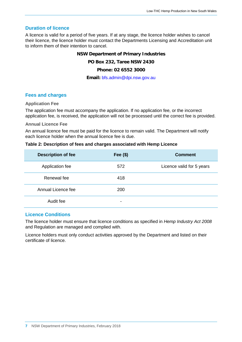#### <span id="page-8-0"></span>**Duration of licence**

A licence is valid for a period of five years. If at any stage, the licence holder wishes to cancel their licence, the licence holder must contact the Departments Licensing and Accreditation unit to inform them of their intention to cancel.

#### **NSW Department of Primary Industries**

#### **PO Box 232, Taree NSW 2430**

#### **Phone: 02 6552 3000**

#### **Email:** [bfs.admin@dpi.nsw.gov.au](mailto:bfs.admin@dpi.nsw.gov.au)

#### <span id="page-8-1"></span>**Fees and charges**

#### **Application Fee**

The application fee must accompany the application. If no application fee, or the incorrect application fee, is received, the application will not be processed until the correct fee is provided.

#### **Annual Licence Fee**

An annual licence fee must be paid for the licence to remain valid. The Department will notify each licence holder when the annual licence fee is due.

#### **Table 2: Description of fees and charges associated with Hemp Licence**

| <b>Description of fee</b> | Fee $($ \$) | <b>Comment</b>            |
|---------------------------|-------------|---------------------------|
| Application fee           | 572         | Licence valid for 5 years |
| Renewal fee               | 418         |                           |
| Annual Licence fee        | 200         |                           |
| Audit fee                 | -           |                           |

#### <span id="page-8-2"></span>**Licence Conditions**

The licence holder must ensure that licence conditions as specified in *Hemp Industry Act 2008* and Regulation are managed and complied with.

Licence holders must only conduct activities approved by the Department and listed on their certificate of licence.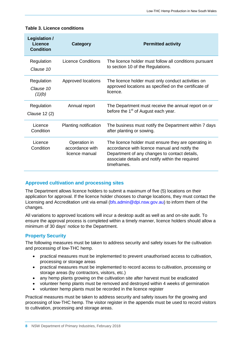| Legislation /<br><b>Licence</b><br><b>Condition</b> | Category                                          | <b>Permitted activity</b>                                                                                                                                                                                                 |
|-----------------------------------------------------|---------------------------------------------------|---------------------------------------------------------------------------------------------------------------------------------------------------------------------------------------------------------------------------|
| Regulation<br>Clause 10                             | Licence Conditions                                | The licence holder must follow all conditions pursuant<br>to section 10 of the Regulations.                                                                                                                               |
| Regulation<br>Clause 10<br>(1)(b)                   | Approved locations                                | The licence holder must only conduct activities on<br>approved locations as specified on the certificate of<br>licence.                                                                                                   |
| Regulation<br>Clause 12 (2)                         | Annual report                                     | The Department must receive the annual report on or<br>before the 1 <sup>st</sup> of August each year.                                                                                                                    |
| Licence<br>Condition                                | Planting notification                             | The business must notify the Department within 7 days<br>after planting or sowing.                                                                                                                                        |
| Licence<br>Condition                                | Operation in<br>accordance with<br>licence manual | The licence holder must ensure they are operating in<br>accordance with licence manual and notify the<br>Department of any changes to contact details,<br>associate details and notify within the required<br>timeframes. |

#### **Table 3. Licence conditions**

#### **Approved cultivation and processing sites**

The Department allows licence holders to submit a maximum of five (5) locations on their application for approval. If the licence holder chooses to change locations, they must contact the Licensing and Accreditation unit via email [\(bfs.admin@dpi.nsw.gov.au\)](mailto:bfs.admin@dpi.nsw.gov.au) to inform them of the changes.

All variations to approved locations will incur a desktop audit as well as and on-site audit. To ensure the approval process is completed within a timely manner, licence holders should allow a minimum of 30 days' notice to the Department.

#### <span id="page-9-0"></span>**Property Security**

The following measures must be taken to address security and safety issues for the cultivation and processing of low-THC hemp.

- practical measures must be implemented to prevent unauthorised access to cultivation, processing or storage areas
- practical measures must be implemented to record access to cultivation, processing or storage areas (by contractors, visitors, etc.)
- any hemp plants growing on the cultivation site after harvest must be eradicated
- volunteer hemp plants must be removed and destroyed within 4 weeks of germination
- volunteer hemp plants must be recorded in the licence register

Practical measures must be taken to address security and safety issues for the growing and processing of low-THC hemp. The visitor register in the appendix must be used to record visitors to cultivation, processing and storage areas.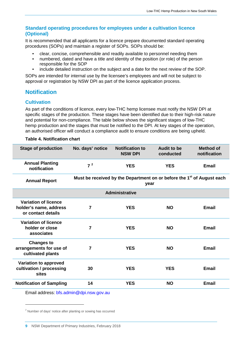#### <span id="page-10-0"></span>**Standard operating procedures for employees under a cultivation licence (Optional)**

It is recommended that all applicants for a licence prepare documented standard operating procedures (SOPs) and maintain a register of SOPs. SOPs should be:

- clear, concise, comprehensible and readily available to personnel needing them
- numbered, dated and have a title and identity of the position (or role) of the person responsible for the SOP
- include detailed instruction on the subject and a date for the next review of the SOP.

SOPs are intended for internal use by the licensee's employees and will not be subject to approval or registration by NSW DPI as part of the licence application process.

### <span id="page-10-1"></span>**Notification**

#### <span id="page-10-2"></span>**Cultivation**

As part of the conditions of licence, every low-THC hemp licensee must notify the NSW DPI at specific stages of the production. These stages have been identified due to their high-risk nature and potential for non-compliance. The table below shows the significant stages of low-THC hemp production and the stages that must be notified to the DPI. At key stages of the operation, an authorised officer will conduct a compliance audit to ensure conditions are being upheld.

#### **Table 4. Notification chart**

| <b>Stage of production</b>                                                  | No. days' notice | <b>Notification to</b><br><b>NSW DPI</b>                                                   | <b>Audit to be</b><br>conducted | <b>Method of</b><br>notification |
|-----------------------------------------------------------------------------|------------------|--------------------------------------------------------------------------------------------|---------------------------------|----------------------------------|
| <b>Annual Planting</b><br>notification                                      | 7 <sup>2</sup>   | <b>YES</b>                                                                                 | <b>YES</b>                      | <b>Email</b>                     |
| <b>Annual Report</b>                                                        |                  | Must be received by the Department on or before the 1 <sup>st</sup> of August each<br>year |                                 |                                  |
|                                                                             |                  | Administrative                                                                             |                                 |                                  |
| <b>Variation of licence</b><br>holder's name, address<br>or contact details | 7                | <b>YES</b>                                                                                 | <b>NO</b>                       | <b>Email</b>                     |
| <b>Variation of licence</b><br>holder or close<br>associates                | $\overline{7}$   | <b>YES</b>                                                                                 | <b>NO</b>                       | Email                            |
| <b>Changes to</b><br>arrangements for use of<br>cultivated plants           | 7                | <b>YES</b>                                                                                 | <b>NO</b>                       | <b>Email</b>                     |
| Variation to approved<br>cultivation / processing<br>sites                  | 30               | <b>YES</b>                                                                                 | <b>YES</b>                      | <b>Email</b>                     |
| <b>Notification of Sampling</b>                                             | 14               | <b>YES</b>                                                                                 | <b>NO</b>                       | <b>Email</b>                     |

Email address: [bfs.admin@dpi.nsw.gov.au](mailto:bfs.admin@dpi.nsw.gov.au)

 $\ddot{\phantom{a}}$ 

<span id="page-10-3"></span><sup>&</sup>lt;sup>2</sup> Number of days' notice after planting or sowing has occurred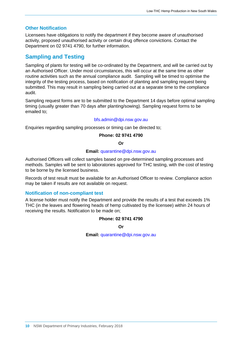#### <span id="page-11-0"></span>**Other Notification**

Licensees have obligations to notify the department if they become aware of unauthorised activity, proposed unauthorised activity or certain drug offence convictions. Contact the Department on 02 9741 4790, for further information.

### <span id="page-11-1"></span>**Sampling and Testing**

Sampling of plants for testing will be co-ordinated by the Department, and will be carried out by an Authorised Officer. Under most circumstances, this will occur at the same time as other routine activities such as the annual compliance audit. Sampling will be timed to optimise the integrity of the testing process, based on notification of planting and sampling request being submitted. This may result in sampling being carried out at a separate time to the compliance audit.

Sampling request forms are to be submitted to the Department 14 days before optimal sampling timing (usually greater than 70 days after planting/sowing). Sampling request forms to be emailed to;

#### [bfs.admin@dpi.nsw.gov.au](file://FILESERVER/Xen7TSProfile/RedirectedFolders/phillipsp/Downloads/bfs.admin@dpi.nsw.gov.au)

Enquiries regarding sampling processes or timing can be directed to;

#### **Phone: 02 9741 4790**

**Or**

#### **Email:** [quarantine@dpi.nsw.gov.au](mailto:quarantine@dpi.nsw.gov.au)

Authorised Officers will collect samples based on pre-determined sampling processes and methods. Samples will be sent to laboratories approved for THC testing, with the cost of testing to be borne by the licensed business.

Records of test result must be available for an Authorised Officer to review. Compliance action may be taken if results are not available on request.

#### <span id="page-11-2"></span>**Notification of non-compliant test**

A license holder must notify the Department and provide the results of a test that exceeds 1% THC (in the leaves and flowering heads of hemp cultivated by the licensee) within 24 hours of receiving the results. Notification to be made on;

#### **Phone: 02 9741 4790**

**Or**

**Email:** [quarantine@dpi.nsw.gov.au](mailto:quarantine@dpi.nsw.gov.au)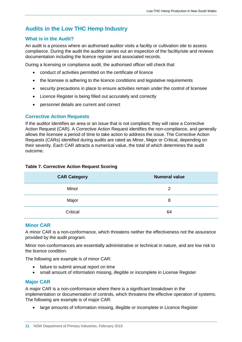## <span id="page-12-0"></span>**Audits in the Low THC Hemp Industry**

#### <span id="page-12-1"></span>**What is in the Audit?**

An audit is a process where an authorised auditor visits a facility or cultivation site to assess compliance. During the audit the auditor carries out an inspection of the facility/site and reviews documentation including the licence register and associated records.

During a licensing or compliance audit, the authorised officer will check that:

- conduct of activities permitted on the certificate of licence
- the licensee is adhering to the licence conditions and legislative requirements
- security precautions in place to ensure activities remain under the control of licensee
- Licence Register is being filled out accurately and correctly
- personnel details are current and correct

#### <span id="page-12-2"></span>**Corrective Action Requests**

If the auditor identifies an area or an issue that is not compliant, they will raise a Corrective Action Request (CAR). A Corrective Action Request identifies the non-compliance, and generally allows the licensee a period of time to take action to address the issue. The Corrective Action Requests (CARs) identified during audits are rated as Minor, Major or Critical, depending on their severity. Each CAR attracts a numerical value, the total of which determines the audit outcome.

| <b>Table 7. Corrective Action Request Scoring</b> |  |  |
|---------------------------------------------------|--|--|
|---------------------------------------------------|--|--|

| <b>CAR Category</b> | <b>Numeral value</b> |
|---------------------|----------------------|
| Minor               | 2                    |
| Major               | 8                    |
| Critical            | 64                   |

#### <span id="page-12-3"></span>**Minor CAR**

A minor CAR is a non-conformance, which threatens neither the effectiveness not the assurance provided by the audit program.

Minor non-conformances are essentially administrative or technical in nature, and are low risk to the licence condition.

The following are example is of minor CAR:

- failure to submit annual report on time
- small amount of information missing, illegible or incomplete in License Register

#### <span id="page-12-4"></span>**Major CAR**

A major CAR is a non-conformance where there is a significant breakdown in the implementation or documentation of controls, which threatens the effective operation of systems. The following are example is of major CAR:

• large amounts of information missing, illegible or incomplete in Licence Register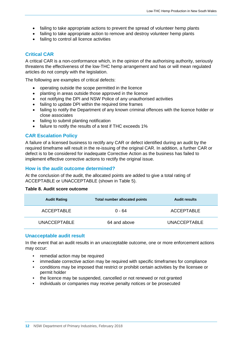- failing to take appropriate actions to prevent the spread of volunteer hemp plants
- failing to take appropriate action to remove and destroy volunteer hemp plants
- failing to control all licence activities

#### <span id="page-13-0"></span>**Critical CAR**

A critical CAR is a non-conformance which, in the opinion of the authorising authority, seriously threatens the effectiveness of the low-THC hemp arrangement and has or will mean regulated articles do not comply with the legislation.

The following are examples of critical defects:

- operating outside the scope permitted in the licence
- planting in areas outside those approved in the licence
- not notifying the DPI and NSW Police of any unauthorised activities
- failing to update DPI within the required time frames
- failing to notify the Department of any known criminal offences with the licence holder or close associates
- failing to submit planting notification
- failure to notify the results of a test if THC exceeds 1%

#### <span id="page-13-1"></span>**CAR Escalation Policy**

A failure of a licensed business to rectify any CAR or defect identified during an audit by the required timeframe will result in the re-issuing of the original CAR. In addition, a further CAR or defect is to be considered for inadequate Corrective Action as the business has failed to implement effective corrective actions to rectify the original issue.

#### <span id="page-13-2"></span>**How is the audit outcome determined?**

At the conclusion of the audit, the allocated points are added to give a total rating of ACCEPTABLE or UNACCEPTABLE (shown in Table 5).

#### **Table 8. Audit score outcome**

| <b>Audit Rating</b> | <b>Total number allocated points</b> | <b>Audit results</b> |
|---------------------|--------------------------------------|----------------------|
| ACCEPTABLE          | ი - 64                               | <b>ACCEPTABLE</b>    |
| <b>UNACCEPTABLE</b> | 64 and above                         | <b>UNACCEPTABLE</b>  |

#### <span id="page-13-3"></span>**Unacceptable audit result**

In the event that an audit results in an unacceptable outcome, one or more enforcement actions may occur:

- remedial action may be required
- immediate corrective action may be required with specific timeframes for compliance
- conditions may be imposed that restrict or prohibit certain activities by the licensee or permit holder
- the licence may be suspended, cancelled or not renewed or not granted
- individuals or companies may receive penalty notices or be prosecuted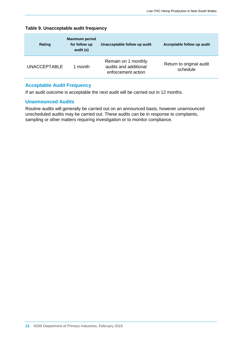| <b>Rating</b>       | <b>Maximum period</b><br>for follow up<br>audit (s) | Unacceptable follow up audit                                       | Acceptable follow up audit           |
|---------------------|-----------------------------------------------------|--------------------------------------------------------------------|--------------------------------------|
| <b>UNACCEPTABLE</b> | 1 month                                             | Remain on 1 monthly<br>audits and additional<br>enforcement action | Return to original audit<br>schedule |

#### **Table 9. Unacceptable audit frequency**

### <span id="page-14-0"></span>**Acceptable Audit Frequency**

If an audit outcome is acceptable the next audit will be carried out in 12 months.

#### <span id="page-14-1"></span>**Unannounced Audits**

Routine audits will generally be carried out on an announced basis, however unannounced unscheduled audits may be carried out. These audits can be in response to complaints, sampling or other matters requiring investigation or to monitor compliance.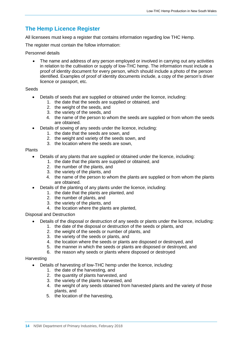## <span id="page-15-0"></span>**The Hemp Licence Register**

All licensees must keep a register that contains information regarding low THC Hemp.

The register must contain the follow information:

#### Personnel details

• The name and address of any person employed or involved in carrying out any activities in relation to the cultivation or supply of low-THC hemp. The information must include a proof of identity document for every person, which should include a photo of the person identified. Examples of proof of identity documents include, a copy of the person's driver licence or passport, etc.

#### **Seeds**

- Details of seeds that are supplied or obtained under the licence, including:
	- 1. the date that the seeds are supplied or obtained, and
	- 2. the weight of the seeds, and
	- 3. the variety of the seeds, and
	- 4. the name of the person to whom the seeds are supplied or from whom the seeds are obtained.
	- Details of sowing of any seeds under the licence, including:
		- 1. the date that the seeds are sown, and
		- 2. the weight and variety of the seeds sown, and
		- 3. the location where the seeds are sown,

#### Plants

- Details of any plants that are supplied or obtained under the licence, including:
	- 1. the date that the plants are supplied or obtained, and
		- 2. the number of the plants, and
		- 3. the variety of the plants, and
		- 4. the name of the person to whom the plants are supplied or from whom the plants are obtained.
- Details of the planting of any plants under the licence, including:
	- 1. the date that the plants are planted, and
	- 2. the number of plants, and
	- 3. the variety of the plants, and
	- 4. the location where the plants are planted,

#### Disposal and Destruction

- Details of the disposal or destruction of any seeds or plants under the licence, including:
	- 1. the date of the disposal or destruction of the seeds or plants, and
	- 2. the weight of the seeds or number of plants, and
	- 3. the variety of the seeds or plants, and
	- 4. the location where the seeds or plants are disposed or destroyed, and
	- 5. the manner in which the seeds or plants are disposed or destroyed, and
	- 6. the reason why seeds or plants where disposed or destroyed

#### **Harvesting**

- Details of harvesting of low-THC hemp under the licence, including:
	- 1. the date of the harvesting, and
	- 2. the quantity of plants harvested, and
	- 3. the variety of the plants harvested, and
	- 4. the weight of any seeds obtained from harvested plants and the variety of those plants, and
	- 5. the location of the harvesting,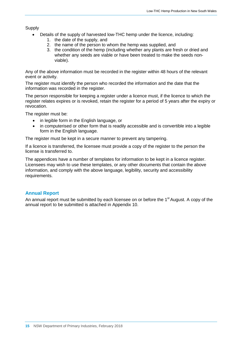**Supply** 

- Details of the supply of harvested low-THC hemp under the licence, including:
	- 1. the date of the supply, and
	- 2. the name of the person to whom the hemp was supplied, and
	- 3. the condition of the hemp (including whether any plants are fresh or dried and whether any seeds are viable or have been treated to make the seeds nonviable).

Any of the above information must be recorded in the register within 48 hours of the relevant event or activity.

The register must identify the person who recorded the information and the date that the information was recorded in the register.

The person responsible for keeping a register under a licence must, if the licence to which the register relates expires or is revoked, retain the register for a period of 5 years after the expiry or revocation.

The register must be:

- in legible form in the English language, or
- in computerised or other form that is readily accessible and is convertible into a legible form in the English language.

The register must be kept in a secure manner to prevent any tampering.

If a licence is transferred, the licensee must provide a copy of the register to the person the license is transferred to.

The appendices have a number of templates for information to be kept in a licence register. Licensees may wish to use these templates, or any other documents that contain the above information, and comply with the above language, legibility, security and accessibility requirements.

#### <span id="page-16-0"></span>**Annual Report**

An annual report must be submitted by each licensee on or before the  $1<sup>st</sup>$  August. A copy of the annual report to be submitted is attached in Appendix 10.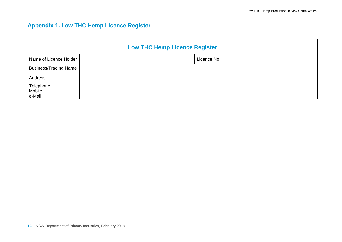# **Appendix 1. Low THC Hemp Licence Register**

<span id="page-17-0"></span>

| <b>Low THC Hemp Licence Register</b> |  |             |
|--------------------------------------|--|-------------|
| Name of Licence Holder               |  | Licence No. |
| <b>Business/Trading Name</b>         |  |             |
| Address                              |  |             |
| Telephone<br>Mobile<br>e-Mail        |  |             |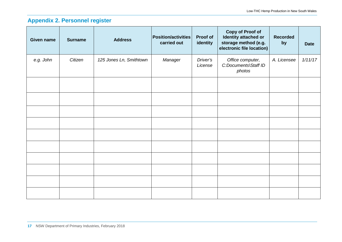# **Appendix 2. Personnel register**

<span id="page-18-0"></span>

| <b>Given name</b> | <b>Surname</b> | <b>Address</b>          | <b>Position/activities</b><br>carried out | Proof of<br>identity | <b>Copy of Proof of</b><br>Identity attached or<br>storage method (e.g.<br>electronic file location) | <b>Recorded</b><br>by | <b>Date</b> |
|-------------------|----------------|-------------------------|-------------------------------------------|----------------------|------------------------------------------------------------------------------------------------------|-----------------------|-------------|
| e.g. John         | Citizen        | 125 Jones Ln, Smithtown | Manager                                   | Driver's<br>License  | Office computer,<br>C:Documents\Staff ID<br>photos                                                   | A. Licensee           | 1/11/17     |
|                   |                |                         |                                           |                      |                                                                                                      |                       |             |
|                   |                |                         |                                           |                      |                                                                                                      |                       |             |
|                   |                |                         |                                           |                      |                                                                                                      |                       |             |
|                   |                |                         |                                           |                      |                                                                                                      |                       |             |
|                   |                |                         |                                           |                      |                                                                                                      |                       |             |
|                   |                |                         |                                           |                      |                                                                                                      |                       |             |
|                   |                |                         |                                           |                      |                                                                                                      |                       |             |
|                   |                |                         |                                           |                      |                                                                                                      |                       |             |
|                   |                |                         |                                           |                      |                                                                                                      |                       |             |
|                   |                |                         |                                           |                      |                                                                                                      |                       |             |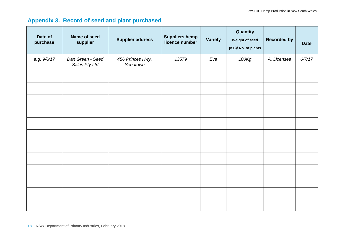# **Appendix 3. Record of seed and plant purchased**

<span id="page-19-0"></span>

| Date of<br>purchase | Name of seed<br>supplier          | <b>Supplier address</b>      | <b>Suppliers hemp</b><br>licence number | <b>Variety</b> | Quantity<br>Weight of seed<br>(KG)/ No. of plants | <b>Recorded by</b> | <b>Date</b> |
|---------------------|-----------------------------------|------------------------------|-----------------------------------------|----------------|---------------------------------------------------|--------------------|-------------|
| e.g. 9/6/17         | Dan Green - Seed<br>Sales Pty Ltd | 456 Princes Hwy,<br>Seedtown | 13579                                   | Eve            | 100Kg                                             | A. Licensee        | 6/7/17      |
|                     |                                   |                              |                                         |                |                                                   |                    |             |
|                     |                                   |                              |                                         |                |                                                   |                    |             |
|                     |                                   |                              |                                         |                |                                                   |                    |             |
|                     |                                   |                              |                                         |                |                                                   |                    |             |
|                     |                                   |                              |                                         |                |                                                   |                    |             |
|                     |                                   |                              |                                         |                |                                                   |                    |             |
|                     |                                   |                              |                                         |                |                                                   |                    |             |
|                     |                                   |                              |                                         |                |                                                   |                    |             |
|                     |                                   |                              |                                         |                |                                                   |                    |             |
|                     |                                   |                              |                                         |                |                                                   |                    |             |
|                     |                                   |                              |                                         |                |                                                   |                    |             |
|                     |                                   |                              |                                         |                |                                                   |                    |             |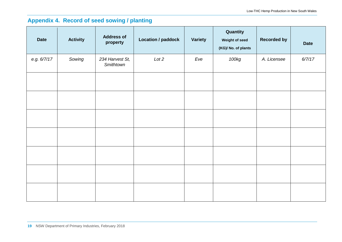# **Appendix 4. Record of seed sowing / planting**

<span id="page-20-0"></span>

| <b>Date</b> | <b>Activity</b> | <b>Address of</b><br>property | <b>Location / paddock</b> | Variety | Quantity<br>Weight of seed<br>(KG)/ No. of plants | <b>Recorded by</b> | <b>Date</b> |
|-------------|-----------------|-------------------------------|---------------------------|---------|---------------------------------------------------|--------------------|-------------|
| e.g. 6/7/17 | Sowing          | 234 Harvest St,<br>Smithtown  | Lot 2                     | Eve     | 100kg                                             | A. Licensee        | 6/7/17      |
|             |                 |                               |                           |         |                                                   |                    |             |
|             |                 |                               |                           |         |                                                   |                    |             |
|             |                 |                               |                           |         |                                                   |                    |             |
|             |                 |                               |                           |         |                                                   |                    |             |
|             |                 |                               |                           |         |                                                   |                    |             |
|             |                 |                               |                           |         |                                                   |                    |             |
|             |                 |                               |                           |         |                                                   |                    |             |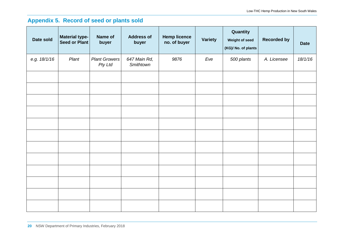# **Appendix 5. Record of seed or plants sold**

<span id="page-21-0"></span>

| Date sold    | <b>Material type-</b><br>Seed or Plant | Name of<br>buyer                | <b>Address of</b><br>buyer | <b>Hemp licence</b><br>no. of buyer | <b>Variety</b> | Quantity<br>Weight of seed<br>(KG)/ No. of plants | <b>Recorded by</b> | <b>Date</b> |
|--------------|----------------------------------------|---------------------------------|----------------------------|-------------------------------------|----------------|---------------------------------------------------|--------------------|-------------|
| e.g. 18/1/16 | Plant                                  | <b>Plant Growers</b><br>Pty Ltd | 647 Main Rd,<br>Smithtown  | 9876                                | Eve            | 500 plants                                        | A. Licensee        | 18/1/16     |
|              |                                        |                                 |                            |                                     |                |                                                   |                    |             |
|              |                                        |                                 |                            |                                     |                |                                                   |                    |             |
|              |                                        |                                 |                            |                                     |                |                                                   |                    |             |
|              |                                        |                                 |                            |                                     |                |                                                   |                    |             |
|              |                                        |                                 |                            |                                     |                |                                                   |                    |             |
|              |                                        |                                 |                            |                                     |                |                                                   |                    |             |
|              |                                        |                                 |                            |                                     |                |                                                   |                    |             |
|              |                                        |                                 |                            |                                     |                |                                                   |                    |             |
|              |                                        |                                 |                            |                                     |                |                                                   |                    |             |
|              |                                        |                                 |                            |                                     |                |                                                   |                    |             |
|              |                                        |                                 |                            |                                     |                |                                                   |                    |             |
|              |                                        |                                 |                            |                                     |                |                                                   |                    |             |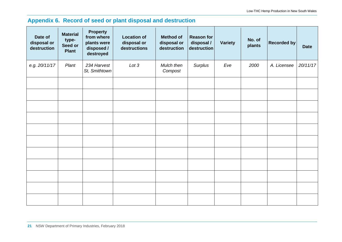# **Appendix 6. Record of seed or plant disposal and destruction**

<span id="page-22-0"></span>

| Date of<br>disposal or<br>destruction | <b>Material</b><br>type-<br>Seed or<br><b>Plant</b> | <b>Property</b><br>from where<br>plants were<br>disposed /<br>destroyed | <b>Location of</b><br>disposal or<br>destructions | <b>Method of</b><br>disposal or<br>destruction | <b>Reason for</b><br>disposal /<br>destruction | <b>Variety</b> | No. of<br>plants | Recorded by | <b>Date</b> |
|---------------------------------------|-----------------------------------------------------|-------------------------------------------------------------------------|---------------------------------------------------|------------------------------------------------|------------------------------------------------|----------------|------------------|-------------|-------------|
| e.g. 20/11/17                         | Plant                                               | 234 Harvest<br>St, Smithtown                                            | Lot 3                                             | Mulch then<br>Compost                          | Surplus                                        | Eve            | 2000             | A. Licensee | 20/11/17    |
|                                       |                                                     |                                                                         |                                                   |                                                |                                                |                |                  |             |             |
|                                       |                                                     |                                                                         |                                                   |                                                |                                                |                |                  |             |             |
|                                       |                                                     |                                                                         |                                                   |                                                |                                                |                |                  |             |             |
|                                       |                                                     |                                                                         |                                                   |                                                |                                                |                |                  |             |             |
|                                       |                                                     |                                                                         |                                                   |                                                |                                                |                |                  |             |             |
|                                       |                                                     |                                                                         |                                                   |                                                |                                                |                |                  |             |             |
|                                       |                                                     |                                                                         |                                                   |                                                |                                                |                |                  |             |             |
|                                       |                                                     |                                                                         |                                                   |                                                |                                                |                |                  |             |             |
|                                       |                                                     |                                                                         |                                                   |                                                |                                                |                |                  |             |             |
|                                       |                                                     |                                                                         |                                                   |                                                |                                                |                |                  |             |             |
|                                       |                                                     |                                                                         |                                                   |                                                |                                                |                |                  |             |             |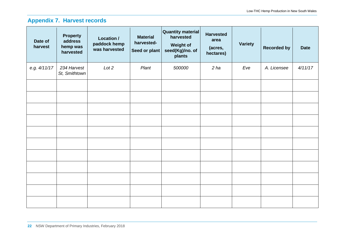# **Appendix 7. Harvest records**

<span id="page-23-0"></span>

| Date of<br>harvest | <b>Property</b><br>address<br>hemp was<br>harvested | Location /<br>paddock hemp<br>was harvested | <b>Material</b><br>harvested-<br>Seed or plant | <b>Quantity material</b><br>harvested<br><b>Weight of</b><br>seed(Kg)/no. of<br>plants | <b>Harvested</b><br>area<br>(acres,<br>hectares) | <b>Variety</b> | <b>Recorded by</b> | <b>Date</b> |
|--------------------|-----------------------------------------------------|---------------------------------------------|------------------------------------------------|----------------------------------------------------------------------------------------|--------------------------------------------------|----------------|--------------------|-------------|
| e.g. 4/11/17       | 234 Harvest<br>St, Smithtown                        | Lot 2                                       | Plant                                          | 500000                                                                                 | 2 ha                                             | Eve            | A. Licensee        | 4/11/17     |
|                    |                                                     |                                             |                                                |                                                                                        |                                                  |                |                    |             |
|                    |                                                     |                                             |                                                |                                                                                        |                                                  |                |                    |             |
|                    |                                                     |                                             |                                                |                                                                                        |                                                  |                |                    |             |
|                    |                                                     |                                             |                                                |                                                                                        |                                                  |                |                    |             |
|                    |                                                     |                                             |                                                |                                                                                        |                                                  |                |                    |             |
|                    |                                                     |                                             |                                                |                                                                                        |                                                  |                |                    |             |
|                    |                                                     |                                             |                                                |                                                                                        |                                                  |                |                    |             |
|                    |                                                     |                                             |                                                |                                                                                        |                                                  |                |                    |             |
|                    |                                                     |                                             |                                                |                                                                                        |                                                  |                |                    |             |
|                    |                                                     |                                             |                                                |                                                                                        |                                                  |                |                    |             |
|                    |                                                     |                                             |                                                |                                                                                        |                                                  |                |                    |             |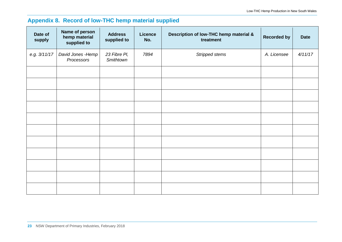# **Appendix 8. Record of low-THC hemp material supplied**

<span id="page-24-0"></span>

| Date of<br>supply | Name of person<br>hemp material<br>supplied to | <b>Address</b><br>supplied to | <b>Licence</b><br>No. | Description of low-THC hemp material &<br>treatment | <b>Recorded by</b> | <b>Date</b> |
|-------------------|------------------------------------------------|-------------------------------|-----------------------|-----------------------------------------------------|--------------------|-------------|
| e.g. 3/11/17      | David Jones - Hemp<br>Processors               | 23 Fibre PI,<br>Smithtown     | 7894                  | Stripped stems                                      | A. Licensee        | 4/11/17     |
|                   |                                                |                               |                       |                                                     |                    |             |
|                   |                                                |                               |                       |                                                     |                    |             |
|                   |                                                |                               |                       |                                                     |                    |             |
|                   |                                                |                               |                       |                                                     |                    |             |
|                   |                                                |                               |                       |                                                     |                    |             |
|                   |                                                |                               |                       |                                                     |                    |             |
|                   |                                                |                               |                       |                                                     |                    |             |
|                   |                                                |                               |                       |                                                     |                    |             |
|                   |                                                |                               |                       |                                                     |                    |             |
|                   |                                                |                               |                       |                                                     |                    |             |
|                   |                                                |                               |                       |                                                     |                    |             |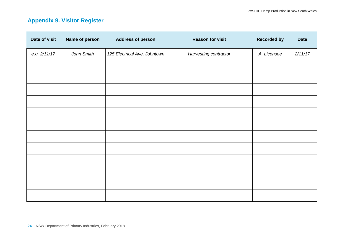# **Appendix 9. Visitor Register**

<span id="page-25-0"></span>

| Date of visit | Name of person | <b>Address of person</b>     | <b>Reason for visit</b> | <b>Recorded by</b> | <b>Date</b> |
|---------------|----------------|------------------------------|-------------------------|--------------------|-------------|
| e.g. 2/11/17  | John Smith     | 125 Electrical Ave, Johntown | Harvesting contractor   | A. Licensee        | 2/11/17     |
|               |                |                              |                         |                    |             |
|               |                |                              |                         |                    |             |
|               |                |                              |                         |                    |             |
|               |                |                              |                         |                    |             |
|               |                |                              |                         |                    |             |
|               |                |                              |                         |                    |             |
|               |                |                              |                         |                    |             |
|               |                |                              |                         |                    |             |
|               |                |                              |                         |                    |             |
|               |                |                              |                         |                    |             |
|               |                |                              |                         |                    |             |
|               |                |                              |                         |                    |             |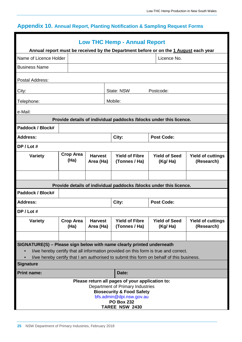# <span id="page-26-0"></span>**Appendix 10. Annual Report, Planting Notification & Sampling Request Forms**

| <b>Low THC Hemp - Annual Report</b><br>Annual report must be received by the Department before or on the 1 August each year |                                                                                                                                                                                                                                                          |                             |                                                                    |                                 |                                        |  |  |  |
|-----------------------------------------------------------------------------------------------------------------------------|----------------------------------------------------------------------------------------------------------------------------------------------------------------------------------------------------------------------------------------------------------|-----------------------------|--------------------------------------------------------------------|---------------------------------|----------------------------------------|--|--|--|
| Name of Licence Holder                                                                                                      |                                                                                                                                                                                                                                                          |                             |                                                                    | Licence No.                     |                                        |  |  |  |
| <b>Business Name</b>                                                                                                        |                                                                                                                                                                                                                                                          |                             |                                                                    |                                 |                                        |  |  |  |
|                                                                                                                             |                                                                                                                                                                                                                                                          |                             |                                                                    |                                 |                                        |  |  |  |
| Postal Address:                                                                                                             |                                                                                                                                                                                                                                                          |                             |                                                                    |                                 |                                        |  |  |  |
| City:                                                                                                                       |                                                                                                                                                                                                                                                          |                             | State: NSW                                                         | Postcode:                       |                                        |  |  |  |
| Telephone:                                                                                                                  |                                                                                                                                                                                                                                                          |                             | Mobile:                                                            |                                 |                                        |  |  |  |
| e-Mail:                                                                                                                     |                                                                                                                                                                                                                                                          |                             |                                                                    |                                 |                                        |  |  |  |
|                                                                                                                             |                                                                                                                                                                                                                                                          |                             | Provide details of individual paddocks /blocks under this licence. |                                 |                                        |  |  |  |
| Paddock / Block#                                                                                                            |                                                                                                                                                                                                                                                          |                             |                                                                    |                                 |                                        |  |  |  |
| <b>Address:</b>                                                                                                             |                                                                                                                                                                                                                                                          |                             | City:                                                              | <b>Post Code:</b>               |                                        |  |  |  |
| DP / Lot #                                                                                                                  |                                                                                                                                                                                                                                                          |                             |                                                                    |                                 |                                        |  |  |  |
| <b>Variety</b>                                                                                                              | <b>Crop Area</b><br>(Ha)                                                                                                                                                                                                                                 | <b>Harvest</b><br>Area (Ha) | <b>Yield of Fibre</b><br>(Tonnes / Ha)                             | <b>Yield of Seed</b><br>(Kg/Ha) | <b>Yield of cuttings</b><br>(Research) |  |  |  |
|                                                                                                                             |                                                                                                                                                                                                                                                          |                             |                                                                    |                                 |                                        |  |  |  |
|                                                                                                                             |                                                                                                                                                                                                                                                          |                             | Provide details of individual paddocks /blocks under this licence. |                                 |                                        |  |  |  |
| Paddock / Block#                                                                                                            |                                                                                                                                                                                                                                                          |                             |                                                                    |                                 |                                        |  |  |  |
| <b>Address:</b>                                                                                                             |                                                                                                                                                                                                                                                          |                             | City:                                                              | <b>Post Code:</b>               |                                        |  |  |  |
| DP / Lot #                                                                                                                  |                                                                                                                                                                                                                                                          |                             |                                                                    |                                 |                                        |  |  |  |
| <b>Variety</b>                                                                                                              | <b>Crop Area</b><br>(Ha)                                                                                                                                                                                                                                 | <b>Harvest</b><br>Area (Ha) | <b>Yield of Fibre</b><br>(Tonnes / Ha)                             | <b>Yield of Seed</b><br>(Kg/Ha) | <b>Yield of cuttings</b><br>(Research) |  |  |  |
|                                                                                                                             |                                                                                                                                                                                                                                                          |                             |                                                                    |                                 |                                        |  |  |  |
| <b>Signature</b>                                                                                                            | SIGNATURE(S) - Please sign below with name clearly printed underneath<br>I/we hereby certify that all information provided on this form is true and correct.<br>I/we hereby certify that I am authorised to submit this form on behalf of this business. |                             |                                                                    |                                 |                                        |  |  |  |
| <b>Print name:</b>                                                                                                          |                                                                                                                                                                                                                                                          |                             | Date:                                                              |                                 |                                        |  |  |  |
|                                                                                                                             | Please return all pages of your application to:<br>Department of Primary Industries<br><b>Biosecurity &amp; Food Safety</b><br>bfs.admin@dpi.nsw.gov.au<br><b>PO Box 232</b><br><b>TAREE NSW 2430</b>                                                    |                             |                                                                    |                                 |                                        |  |  |  |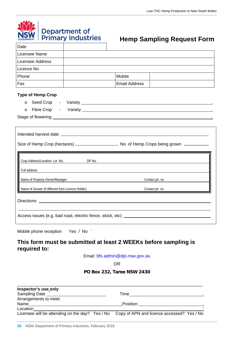|  | <b>NSW</b> Department of |
|--|--------------------------|
|  |                          |

# **Hemp Sampling Request Form**

| Licensee Name                                     |        |                      |                 |
|---------------------------------------------------|--------|----------------------|-----------------|
| <b>Licensee Address</b>                           |        |                      |                 |
| Licence No                                        |        |                      |                 |
| Phone                                             |        | Mobile               |                 |
| Fax                                               |        | <b>Email Address</b> |                 |
| <b>Type of Hemp Crop</b><br>$\circ$<br>$\circ$    |        |                      |                 |
|                                                   |        |                      |                 |
|                                                   |        |                      |                 |
| Crop Address/Location: Lot No.<br>Full address    | DP No: |                      |                 |
| Name of Property Owner/Manager                    |        |                      | Contact ph. no. |
| Name of Grower (if different from Licence Holder) |        |                      | Contact ph. no. |
|                                                   |        |                      |                 |

Mobile phone reception Yes / No `

### **This form must be submitted at least 2 WEEKs before sampling is required to:**

Email: [bfs.admin@dpi.nsw.gov.au](file://FILESERVER/Xen7TSProfile/RedirectedFolders/phillipsp/Downloads/bfs.admin@dpi.nsw.gov.au)

OR

**PO Box 232, Taree NSW 2430**

| Inspector's use only                                                                       |           |  |
|--------------------------------------------------------------------------------------------|-----------|--|
| Sampling Date                                                                              | Time      |  |
| Arrangements to meet:                                                                      |           |  |
| Name                                                                                       | .Position |  |
| Location                                                                                   |           |  |
| Licensee will be attending on the day? Yes / No Copy of APN and licence accessed? Yes / No |           |  |